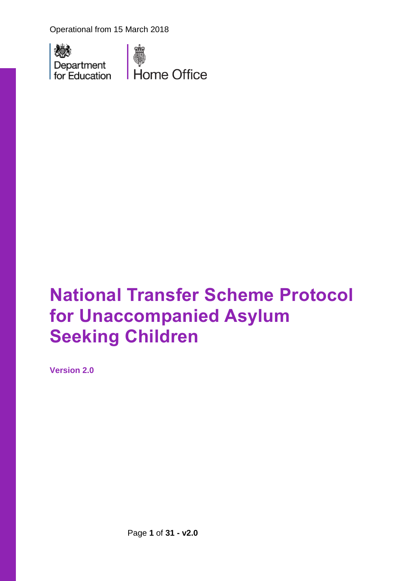Operational from 15 March 2018





# **National Transfer Scheme Protocol for Unaccompanied Asylum Seeking Children**

**Version 2.0**

Page **1** of **31 - v2.0**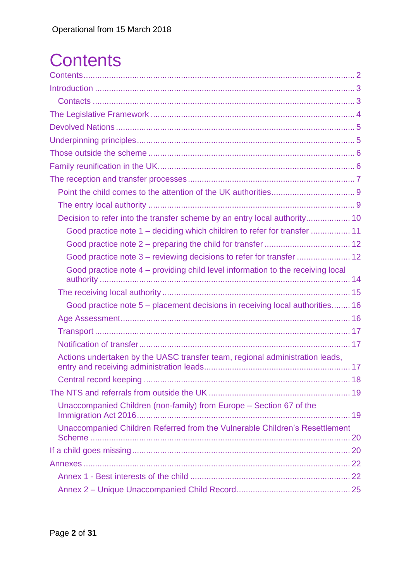# <span id="page-1-0"></span>**Contents**

| Decision to refer into the transfer scheme by an entry local authority 10                   |  |
|---------------------------------------------------------------------------------------------|--|
| Good practice note 1 – deciding which children to refer for transfer  11                    |  |
|                                                                                             |  |
|                                                                                             |  |
| Good practice note 4 - providing child level information to the receiving local             |  |
|                                                                                             |  |
| Good practice note 5 – placement decisions in receiving local authorities 16                |  |
|                                                                                             |  |
|                                                                                             |  |
|                                                                                             |  |
|                                                                                             |  |
| Actions undertaken by the UASC transfer team, regional administration leads,                |  |
|                                                                                             |  |
|                                                                                             |  |
| Unaccompanied Children (non-family) from Europe - Section 67 of the<br>Immigration Act 2016 |  |
| Unaccompanied Children Referred from the Vulnerable Children's Resettlement                 |  |
|                                                                                             |  |
|                                                                                             |  |
|                                                                                             |  |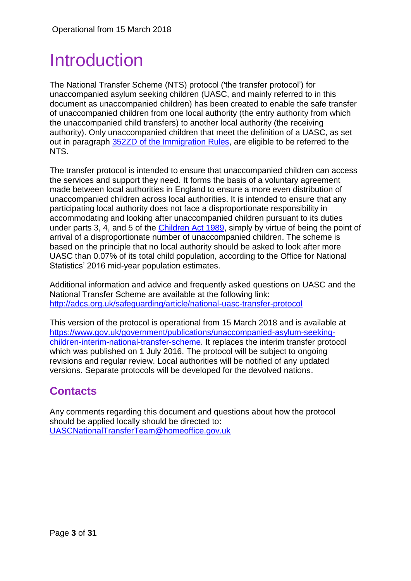## <span id="page-2-0"></span>Introduction

The National Transfer Scheme (NTS) protocol ('the transfer protocol') for unaccompanied asylum seeking children (UASC, and mainly referred to in this document as unaccompanied children) has been created to enable the safe transfer of unaccompanied children from one local authority (the entry authority from which the unaccompanied child transfers) to another local authority (the receiving authority). Only unaccompanied children that meet the definition of a UASC, as set out in paragraph [352ZD of the Immigration Rules,](https://www.gov.uk/guidance/immigration-rules/immigration-rules-part-11-asylum) are eligible to be referred to the NTS.

The transfer protocol is intended to ensure that unaccompanied children can access the services and support they need. It forms the basis of a voluntary agreement made between local authorities in England to ensure a more even distribution of unaccompanied children across local authorities. It is intended to ensure that any participating local authority does not face a disproportionate responsibility in accommodating and looking after unaccompanied children pursuant to its duties under parts 3, 4, and 5 of the [Children Act 1989,](http://www.legislation.gov.uk/ukpga/1989/41/contents) simply by virtue of being the point of arrival of a disproportionate number of unaccompanied children. The scheme is based on the principle that no local authority should be asked to look after more UASC than 0.07% of its total child population, according to the Office for National Statistics' 2016 mid-year population estimates.

Additional information and advice and frequently asked questions on UASC and the National Transfer Scheme are available at the following link: <http://adcs.org.uk/safeguarding/article/national-uasc-transfer-protocol>

This version of the protocol is operational from 15 March 2018 and is available at [https://www.gov.uk/government/publications/unaccompanied-asylum-seeking](https://www.gov.uk/government/publications/unaccompanied-asylum-seeking-children-interim-national-transfer-scheme)[children-interim-national-transfer-scheme.](https://www.gov.uk/government/publications/unaccompanied-asylum-seeking-children-interim-national-transfer-scheme) It replaces the interim transfer protocol which was published on 1 July 2016. The protocol will be subject to ongoing revisions and regular review. Local authorities will be notified of any updated versions. Separate protocols will be developed for the devolved nations.

## <span id="page-2-1"></span>**Contacts**

Any comments regarding this document and questions about how the protocol should be applied locally should be directed to: [UASCNationalTransferTeam@homeoffice.gov.uk](mailto:UASCNationalTransferTeam@homeoffice.gov.uk)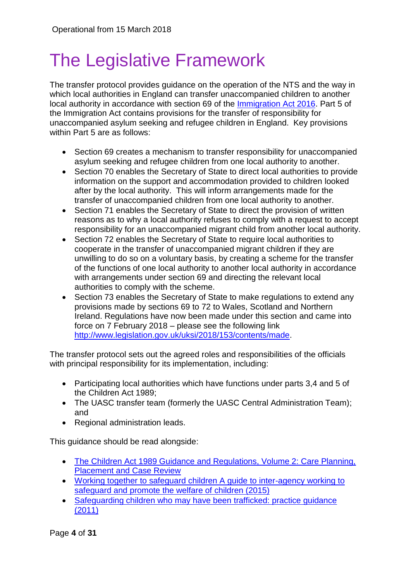# <span id="page-3-0"></span>The Legislative Framework

The transfer protocol provides guidance on the operation of the NTS and the way in which local authorities in England can transfer unaccompanied children to another local authority in accordance with section 69 of the [Immigration Act 2016.](http://www.legislation.gov.uk/ukpga/2016/19/contents/enacted) Part 5 of the Immigration Act contains provisions for the transfer of responsibility for unaccompanied asylum seeking and refugee children in England. Key provisions within Part 5 are as follows:

- Section 69 creates a mechanism to transfer responsibility for unaccompanied asylum seeking and refugee children from one local authority to another.
- Section 70 enables the Secretary of State to direct local authorities to provide information on the support and accommodation provided to children looked after by the local authority. This will inform arrangements made for the transfer of unaccompanied children from one local authority to another.
- Section 71 enables the Secretary of State to direct the provision of written reasons as to why a local authority refuses to comply with a request to accept responsibility for an unaccompanied migrant child from another local authority.
- Section 72 enables the Secretary of State to require local authorities to cooperate in the transfer of unaccompanied migrant children if they are unwilling to do so on a voluntary basis, by creating a scheme for the transfer of the functions of one local authority to another local authority in accordance with arrangements under section 69 and directing the relevant local authorities to comply with the scheme.
- Section 73 enables the Secretary of State to make regulations to extend any provisions made by sections 69 to 72 to Wales, Scotland and Northern Ireland. Regulations have now been made under this section and came into force on 7 February 2018 – please see the following link [http://www.legislation.gov.uk/uksi/2018/153/contents/made.](http://www.legislation.gov.uk/uksi/2018/153/contents/made)

The transfer protocol sets out the agreed roles and responsibilities of the officials with principal responsibility for its implementation, including:

- Participating local authorities which have functions under parts 3,4 and 5 of the Children Act 1989;
- The UASC transfer team (formerly the UASC Central Administration Team); and
- Regional administration leads.

This guidance should be read alongside:

- [The Children Act 1989 Guidance and Regulations, Volume 2: Care Planning,](https://www.gov.uk/government/uploads/system/uploads/attachment_data/file/441643/Children_Act_Guidance_2015.pdf)  **[Placement and Case Review](https://www.gov.uk/government/uploads/system/uploads/attachment_data/file/441643/Children_Act_Guidance_2015.pdf)**
- [Working together to safeguard children A guide to inter-agency working to](https://www.gov.uk/government/uploads/system/uploads/attachment_data/file/419595/Working_Together_to_Safeguard_Children.pdf)  [safeguard and promote the welfare of children \(2015\)](https://www.gov.uk/government/uploads/system/uploads/attachment_data/file/419595/Working_Together_to_Safeguard_Children.pdf)
- Safeguarding children who may have been trafficked: practice guidance [\(2011\)](https://www.gov.uk/government/uploads/system/uploads/attachment_data/file/177033/DFE-00084-2011.pdf)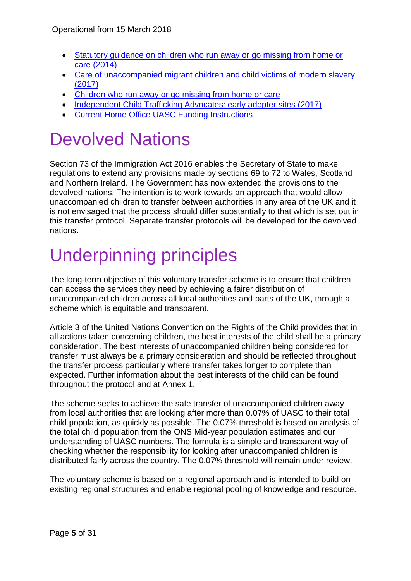- [Statutory guidance on children who run away or go missing from home or](https://www.gov.uk/government/uploads/system/uploads/attachment_data/file/307867/Statutory_Guidance_-_Missing_from_care__3_.pdf)  [care \(2014\)](https://www.gov.uk/government/uploads/system/uploads/attachment_data/file/307867/Statutory_Guidance_-_Missing_from_care__3_.pdf)
- Care of unaccompanied [migrant children and child victims of modern slavery](https://www.gov.uk/government/uploads/system/uploads/attachment_data/file/330787/Care_of_unaccompanied_and_trafficked_children.pdf)  [\(2017\)](https://www.gov.uk/government/uploads/system/uploads/attachment_data/file/330787/Care_of_unaccompanied_and_trafficked_children.pdf)
- [Children who run away or go missing from home or care](https://www.gov.uk/government/uploads/system/uploads/attachment_data/file/307867/Statutory_Guidance_-_Missing_from_care__3_.pdf)
- [Independent Child Trafficking Advocates: early adopter sites \(2017\)](https://www.gov.uk/government/publications/child-trafficking-advocates-early-adopter-sites)
- [Current Home Office UASC Funding Instructions](https://www.gov.uk/government/uploads/system/uploads/attachment_data/file/534188/UASC_Funding_Instructions__2016-17.pdf)

## <span id="page-4-0"></span>Devolved Nations

Section 73 of the Immigration Act 2016 enables the Secretary of State to make regulations to extend any provisions made by sections 69 to 72 to Wales, Scotland and Northern Ireland. The Government has now extended the provisions to the devolved nations. The intention is to work towards an approach that would allow unaccompanied children to transfer between authorities in any area of the UK and it is not envisaged that the process should differ substantially to that which is set out in this transfer protocol. Separate transfer protocols will be developed for the devolved nations.

# <span id="page-4-1"></span>Underpinning principles

The long-term objective of this voluntary transfer scheme is to ensure that children can access the services they need by achieving a fairer distribution of unaccompanied children across all local authorities and parts of the UK, through a scheme which is equitable and transparent.

Article 3 of the United Nations Convention on the Rights of the Child provides that in all actions taken concerning children, the best interests of the child shall be a primary consideration. The best interests of unaccompanied children being considered for transfer must always be a primary consideration and should be reflected throughout the transfer process particularly where transfer takes longer to complete than expected. Further information about the best interests of the child can be found throughout the protocol and at Annex 1.

The scheme seeks to achieve the safe transfer of unaccompanied children away from local authorities that are looking after more than 0.07% of UASC to their total child population, as quickly as possible. The 0.07% threshold is based on analysis of the total child population from the ONS Mid-year population estimates and our understanding of UASC numbers. The formula is a simple and transparent way of checking whether the responsibility for looking after unaccompanied children is distributed fairly across the country. The 0.07% threshold will remain under review.

The voluntary scheme is based on a regional approach and is intended to build on existing regional structures and enable regional pooling of knowledge and resource.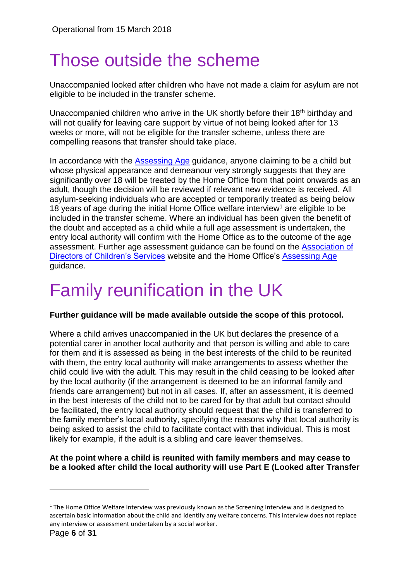## <span id="page-5-0"></span>Those outside the scheme

Unaccompanied looked after children who have not made a claim for asylum are not eligible to be included in the transfer scheme.

Unaccompanied children who arrive in the UK shortly before their 18<sup>th</sup> birthday and will not qualify for leaving care support by virtue of not being looked after for 13 weeks or more, will not be eligible for the transfer scheme, unless there are compelling reasons that transfer should take place.

In accordance with the [Assessing Age](https://www.gov.uk/government/uploads/system/uploads/attachment_data/file/257462/assessing-age.pdf) guidance, anyone claiming to be a child but whose physical appearance and demeanour very strongly suggests that they are significantly over 18 will be treated by the Home Office from that point onwards as an adult, though the decision will be reviewed if relevant new evidence is received. All asylum-seeking individuals who are accepted or temporarily treated as being below 18 years of age during the initial Home Office welfare interview<sup>1</sup> are eligible to be included in the transfer scheme. Where an individual has been given the benefit of the doubt and accepted as a child while a full age assessment is undertaken, the entry local authority will confirm with the Home Office as to the outcome of the age assessment. Further age assessment guidance can be found on the [Association of](http://adcs.org.uk/safeguarding/article/age-assessment-information-sharing-for-unaccompanied-asylum-seeking-childre)  [Directors of Children's Services](http://adcs.org.uk/safeguarding/article/age-assessment-information-sharing-for-unaccompanied-asylum-seeking-childre) website and the Home Office's [Assessing Age](https://www.gov.uk/government/uploads/system/uploads/attachment_data/file/257462/assessing-age.pdf) guidance.

# <span id="page-5-1"></span>Family reunification in the UK

#### **Further guidance will be made available outside the scope of this protocol.**

Where a child arrives unaccompanied in the UK but declares the presence of a potential carer in another local authority and that person is willing and able to care for them and it is assessed as being in the best interests of the child to be reunited with them, the entry local authority will make arrangements to assess whether the child could live with the adult. This may result in the child ceasing to be looked after by the local authority (if the arrangement is deemed to be an informal family and friends care arrangement) but not in all cases. If, after an assessment, it is deemed in the best interests of the child not to be cared for by that adult but contact should be facilitated, the entry local authority should request that the child is transferred to the family member's local authority, specifying the reasons why that local authority is being asked to assist the child to facilitate contact with that individual. This is most likely for example, if the adult is a sibling and care leaver themselves.

#### **At the point where a child is reunited with family members and may cease to be a looked after child the local authority will use Part E (Looked after Transfer**

1

 $1$  The Home Office Welfare Interview was previously known as the Screening Interview and is designed to ascertain basic information about the child and identify any welfare concerns. This interview does not replace any interview or assessment undertaken by a social worker.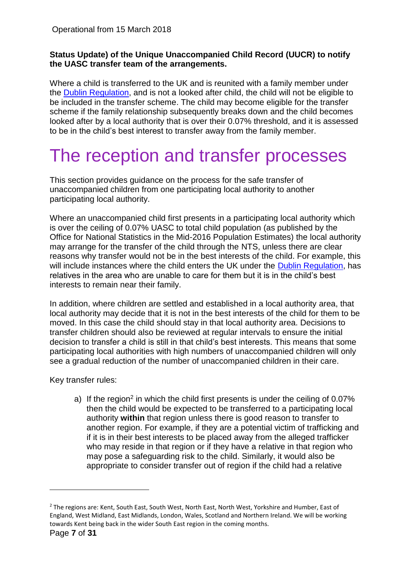#### **Status Update) of the Unique Unaccompanied Child Record (UUCR) to notify the UASC transfer team of the arrangements.**

Where a child is transferred to the UK and is reunited with a family member under the [Dublin Regulation,](http://eur-lex.europa.eu/legal-content/EN/TXT/PDF/?uri=CELEX:32013R0604&from=EN) and is not a looked after child, the child will not be eligible to be included in the transfer scheme. The child may become eligible for the transfer scheme if the family relationship subsequently breaks down and the child becomes looked after by a local authority that is over their 0.07% threshold, and it is assessed to be in the child's best interest to transfer away from the family member.

## <span id="page-6-0"></span>The reception and transfer processes

This section provides guidance on the process for the safe transfer of unaccompanied children from one participating local authority to another participating local authority.

Where an unaccompanied child first presents in a participating local authority which is over the ceiling of 0.07% UASC to total child population (as published by the Office for National Statistics in the Mid-2016 Population Estimates) the local authority may arrange for the transfer of the child through the NTS, unless there are clear reasons why transfer would not be in the best interests of the child. For example, this will include instances where the child enters the UK under the [Dublin Regulation,](http://eur-lex.europa.eu/legal-content/EN/TXT/PDF/?uri=CELEX:32013R0604&from=EN) has relatives in the area who are unable to care for them but it is in the child's best interests to remain near their family.

In addition, where children are settled and established in a local authority area, that local authority may decide that it is not in the best interests of the child for them to be moved. In this case the child should stay in that local authority area. Decisions to transfer children should also be reviewed at regular intervals to ensure the initial decision to transfer a child is still in that child's best interests. This means that some participating local authorities with high numbers of unaccompanied children will only see a gradual reduction of the number of unaccompanied children in their care.

Key transfer rules:

a) If the region<sup>2</sup> in which the child first presents is under the ceiling of 0.07% then the child would be expected to be transferred to a participating local authority **within** that region unless there is good reason to transfer to another region. For example, if they are a potential victim of trafficking and if it is in their best interests to be placed away from the alleged trafficker who may reside in that region or if they have a relative in that region who may pose a safeguarding risk to the child. Similarly, it would also be appropriate to consider transfer out of region if the child had a relative

1

<sup>&</sup>lt;sup>2</sup> The regions are: Kent, South East, South West, North East, North West, Yorkshire and Humber, East of England, West Midland, East Midlands, London, Wales, Scotland and Northern Ireland. We will be working towards Kent being back in the wider South East region in the coming months.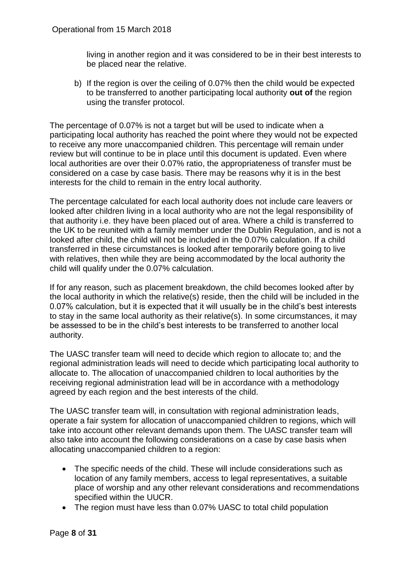living in another region and it was considered to be in their best interests to be placed near the relative.

b) If the region is over the ceiling of 0.07% then the child would be expected to be transferred to another participating local authority **out of** the region using the transfer protocol.

The percentage of 0.07% is not a target but will be used to indicate when a participating local authority has reached the point where they would not be expected to receive any more unaccompanied children. This percentage will remain under review but will continue to be in place until this document is updated. Even where local authorities are over their 0.07% ratio, the appropriateness of transfer must be considered on a case by case basis. There may be reasons why it is in the best interests for the child to remain in the entry local authority.

The percentage calculated for each local authority does not include care leavers or looked after children living in a local authority who are not the legal responsibility of that authority i.e. they have been placed out of area. Where a child is transferred to the UK to be reunited with a family member under the Dublin Regulation, and is not a looked after child, the child will not be included in the 0.07% calculation. If a child transferred in these circumstances is looked after temporarily before going to live with relatives, then while they are being accommodated by the local authority the child will qualify under the 0.07% calculation.

If for any reason, such as placement breakdown, the child becomes looked after by the local authority in which the relative(s) reside, then the child will be included in the 0.07% calculation, but it is expected that it will usually be in the child's best interests to stay in the same local authority as their relative(s). In some circumstances, it may be assessed to be in the child's best interests to be transferred to another local authority.

The UASC transfer team will need to decide which region to allocate to; and the regional administration leads will need to decide which participating local authority to allocate to. The allocation of unaccompanied children to local authorities by the receiving regional administration lead will be in accordance with a methodology agreed by each region and the best interests of the child.

The UASC transfer team will, in consultation with regional administration leads, operate a fair system for allocation of unaccompanied children to regions, which will take into account other relevant demands upon them. The UASC transfer team will also take into account the following considerations on a case by case basis when allocating unaccompanied children to a region:

- The specific needs of the child. These will include considerations such as location of any family members, access to legal representatives, a suitable place of worship and any other relevant considerations and recommendations specified within the UUCR.
- The region must have less than 0.07% UASC to total child population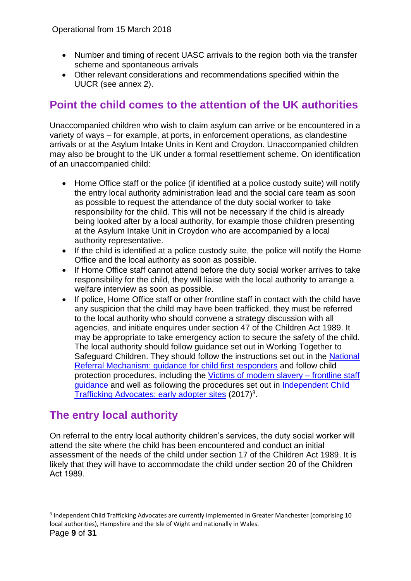- Number and timing of recent UASC arrivals to the region both via the transfer scheme and spontaneous arrivals
- Other relevant considerations and recommendations specified within the UUCR (see annex 2).

## <span id="page-8-0"></span>**Point the child comes to the attention of the UK authorities**

Unaccompanied children who wish to claim asylum can arrive or be encountered in a variety of ways – for example, at ports, in enforcement operations, as clandestine arrivals or at the Asylum Intake Units in Kent and Croydon. Unaccompanied children may also be brought to the UK under a formal resettlement scheme. On identification of an unaccompanied child:

- Home Office staff or the police (if identified at a police custody suite) will notify the entry local authority administration lead and the social care team as soon as possible to request the attendance of the duty social worker to take responsibility for the child. This will not be necessary if the child is already being looked after by a local authority, for example those children presenting at the Asylum Intake Unit in Croydon who are accompanied by a local authority representative.
- If the child is identified at a police custody suite, the police will notify the Home Office and the local authority as soon as possible.
- If Home Office staff cannot attend before the duty social worker arrives to take responsibility for the child, they will liaise with the local authority to arrange a welfare interview as soon as possible.
- If police, Home Office staff or other frontline staff in contact with the child have any suspicion that the child may have been trafficked, they must be referred to the local authority who should convene a strategy discussion with all agencies, and initiate enquires under section 47 of the Children Act 1989. It may be appropriate to take emergency action to secure the safety of the child. The local authority should follow guidance set out in Working Together to Safeguard Children. They should follow the instructions set out in the [National](https://www.gov.uk/government/uploads/system/uploads/attachment_data/file/510091/NRM_-_guidance_for_child_first_responders_v2.0_EXT.PDF)  [Referral Mechanism: guidance for child first responders](https://www.gov.uk/government/uploads/system/uploads/attachment_data/file/510091/NRM_-_guidance_for_child_first_responders_v2.0_EXT.PDF) and follow child protection procedures, including the [Victims of modern slavery –](https://www.gov.uk/government/uploads/system/uploads/attachment_data/file/509326/victims-of-modern-slavery-frontline-staff-guidance-v3.pdf) frontline staff [guidance](https://www.gov.uk/government/uploads/system/uploads/attachment_data/file/509326/victims-of-modern-slavery-frontline-staff-guidance-v3.pdf) and well as following the procedures set out in [Independent Child](https://www.gov.uk/government/publications/child-trafficking-advocates-early-adopter-sites)  [Trafficking Advocates: early adopter sites](https://www.gov.uk/government/publications/child-trafficking-advocates-early-adopter-sites) (2017)<sup>3</sup>.

## <span id="page-8-1"></span>**The entry local authority**

On referral to the entry local authority children's services, the duty social worker will attend the site where the child has been encountered and conduct an initial assessment of the needs of the child under section 17 of the Children Act 1989. It is likely that they will have to accommodate the child under section 20 of the Children Act 1989.

1

<sup>&</sup>lt;sup>3</sup> Independent Child Trafficking Advocates are currently implemented in Greater Manchester (comprising 10 local authorities), Hampshire and the Isle of Wight and nationally in Wales.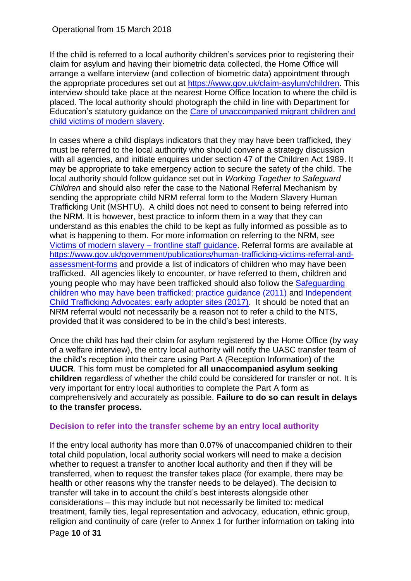If the child is referred to a local authority children's services prior to registering their claim for asylum and having their biometric data collected, the Home Office will arrange a welfare interview (and collection of biometric data) appointment through the appropriate procedures set out at [https://www.gov.uk/claim-asylum/children.](https://www.gov.uk/claim-asylum/children) This interview should take place at the nearest Home Office location to where the child is placed. The local authority should photograph the child in line with Department for Education's statutory guidance on the [Care of unaccompanied migrant children and](https://www.gov.uk/government/uploads/system/uploads/attachment_data/file/656429/UASC_Statutory_Guidance_2017.pdf)  [child victims of modern slavery.](https://www.gov.uk/government/uploads/system/uploads/attachment_data/file/656429/UASC_Statutory_Guidance_2017.pdf)

In cases where a child displays indicators that they may have been trafficked, they must be referred to the local authority who should convene a strategy discussion with all agencies, and initiate enquires under section 47 of the Children Act 1989. It may be appropriate to take emergency action to secure the safety of the child. The local authority should follow guidance set out in *Working Together to Safeguard Children* and should also refer the case to the National Referral Mechanism by sending the appropriate child NRM referral form to the Modern Slavery Human Trafficking Unit (MSHTU). A child does not need to consent to being referred into the NRM. It is however, best practice to inform them in a way that they can understand as this enables the child to be kept as fully informed as possible as to what is happening to them. For more information on referring to the NRM, see [Victims of modern slavery –](https://www.gov.uk/government/uploads/system/uploads/attachment_data/file/509326/victims-of-modern-slavery-frontline-staff-guidance-v3.pdf) frontline staff guidance. Referral forms are available at [https://www.gov.uk/government/publications/human-trafficking-victims-referral-and](https://www.gov.uk/government/publications/human-trafficking-victims-referral-and-assessment-forms)[assessment-forms](https://www.gov.uk/government/publications/human-trafficking-victims-referral-and-assessment-forms) and provide a list of indicators of children who may have been trafficked. All agencies likely to encounter, or have referred to them, children and young people who may have been trafficked should also follow the [Safeguarding](https://www.gov.uk/government/uploads/system/uploads/attachment_data/file/177033/DFE-00084-2011.pdf)  [children who may have been trafficked: practice guidance \(2011\)](https://www.gov.uk/government/uploads/system/uploads/attachment_data/file/177033/DFE-00084-2011.pdf) and [Independent](https://www.gov.uk/government/publications/child-trafficking-advocates-early-adopter-sites)  [Child Trafficking Advocates: early adopter sites \(2017\).](https://www.gov.uk/government/publications/child-trafficking-advocates-early-adopter-sites) It should be noted that an NRM referral would not necessarily be a reason not to refer a child to the NTS, provided that it was considered to be in the child's best interests.

Once the child has had their claim for asylum registered by the Home Office (by way of a welfare interview), the entry local authority will notify the UASC transfer team of the child's reception into their care using Part A (Reception Information) of the **UUCR**. This form must be completed for **all unaccompanied asylum seeking children** regardless of whether the child could be considered for transfer or not. It is very important for entry local authorities to complete the Part A form as comprehensively and accurately as possible. **Failure to do so can result in delays to the transfer process.**

#### <span id="page-9-0"></span>**Decision to refer into the transfer scheme by an entry local authority**

Page **10** of **31** If the entry local authority has more than 0.07% of unaccompanied children to their total child population, local authority social workers will need to make a decision whether to request a transfer to another local authority and then if they will be transferred, when to request the transfer takes place (for example, there may be health or other reasons why the transfer needs to be delayed). The decision to transfer will take in to account the child's best interests alongside other considerations – this may include but not necessarily be limited to: medical treatment, family ties, legal representation and advocacy, education, ethnic group, religion and continuity of care (refer to Annex 1 for further information on taking into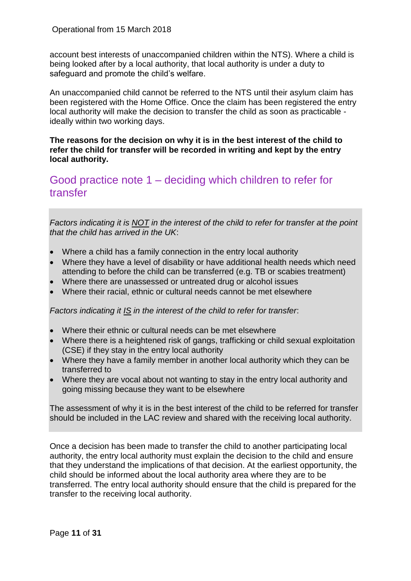account best interests of unaccompanied children within the NTS). Where a child is being looked after by a local authority, that local authority is under a duty to safeguard and promote the child's welfare.

An unaccompanied child cannot be referred to the NTS until their asylum claim has been registered with the Home Office. Once the claim has been registered the entry local authority will make the decision to transfer the child as soon as practicable ideally within two working days.

**The reasons for the decision on why it is in the best interest of the child to refer the child for transfer will be recorded in writing and kept by the entry local authority.**

### <span id="page-10-0"></span>Good practice note 1 – deciding which children to refer for transfer

*Factors indicating it is NOT in the interest of the child to refer for transfer at the point that the child has arrived in the UK*:

- Where a child has a family connection in the entry local authority
- Where they have a level of disability or have additional health needs which need attending to before the child can be transferred (e.g. TB or scabies treatment)
- Where there are unassessed or untreated drug or alcohol issues
- Where their racial, ethnic or cultural needs cannot be met elsewhere

*Factors indicating it IS in the interest of the child to refer for transfer*:

- Where their ethnic or cultural needs can be met elsewhere
- Where there is a heightened risk of gangs, trafficking or child sexual exploitation (CSE) if they stay in the entry local authority
- Where they have a family member in another local authority which they can be transferred to
- Where they are vocal about not wanting to stay in the entry local authority and going missing because they want to be elsewhere

The assessment of why it is in the best interest of the child to be referred for transfer should be included in the LAC review and shared with the receiving local authority.

Once a decision has been made to transfer the child to another participating local authority, the entry local authority must explain the decision to the child and ensure that they understand the implications of that decision. At the earliest opportunity, the child should be informed about the local authority area where they are to be transferred. The entry local authority should ensure that the child is prepared for the transfer to the receiving local authority.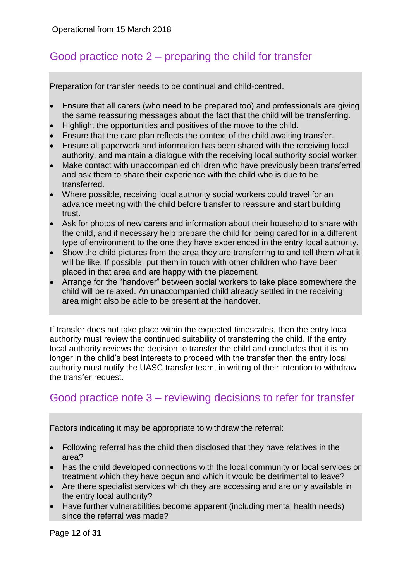## <span id="page-11-0"></span>Good practice note 2 – preparing the child for transfer

Preparation for transfer needs to be continual and child-centred.

- Ensure that all carers (who need to be prepared too) and professionals are giving the same reassuring messages about the fact that the child will be transferring.
- Highlight the opportunities and positives of the move to the child.
- Ensure that the care plan reflects the context of the child awaiting transfer.
- Ensure all paperwork and information has been shared with the receiving local authority, and maintain a dialogue with the receiving local authority social worker.
- Make contact with unaccompanied children who have previously been transferred and ask them to share their experience with the child who is due to be transferred.
- Where possible, receiving local authority social workers could travel for an advance meeting with the child before transfer to reassure and start building trust.
- Ask for photos of new carers and information about their household to share with the child, and if necessary help prepare the child for being cared for in a different type of environment to the one they have experienced in the entry local authority.
- Show the child pictures from the area they are transferring to and tell them what it will be like. If possible, put them in touch with other children who have been placed in that area and are happy with the placement.
- Arrange for the "handover" between social workers to take place somewhere the child will be relaxed. An unaccompanied child already settled in the receiving area might also be able to be present at the handover.

If transfer does not take place within the expected timescales, then the entry local authority must review the continued suitability of transferring the child. If the entry local authority reviews the decision to transfer the child and concludes that it is no longer in the child's best interests to proceed with the transfer then the entry local authority must notify the UASC transfer team, in writing of their intention to withdraw the transfer request.

## <span id="page-11-1"></span>Good practice note 3 – reviewing decisions to refer for transfer

Factors indicating it may be appropriate to withdraw the referral:

- Following referral has the child then disclosed that they have relatives in the area?
- Has the child developed connections with the local community or local services or treatment which they have begun and which it would be detrimental to leave?
- Are there specialist services which they are accessing and are only available in the entry local authority?
- Have further vulnerabilities become apparent (including mental health needs) since the referral was made?

Page **12** of **31**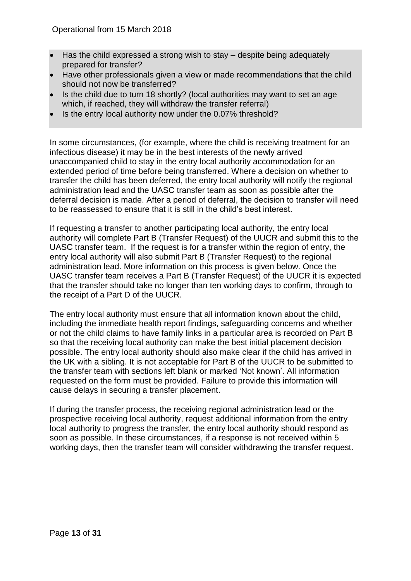- Has the child expressed a strong wish to stay despite being adequately prepared for transfer?
- Have other professionals given a view or made recommendations that the child should not now be transferred?
- Is the child due to turn 18 shortly? (local authorities may want to set an age which, if reached, they will withdraw the transfer referral)
- Is the entry local authority now under the 0.07% threshold?

In some circumstances, (for example, where the child is receiving treatment for an infectious disease) it may be in the best interests of the newly arrived unaccompanied child to stay in the entry local authority accommodation for an extended period of time before being transferred. Where a decision on whether to transfer the child has been deferred, the entry local authority will notify the regional administration lead and the UASC transfer team as soon as possible after the deferral decision is made. After a period of deferral, the decision to transfer will need to be reassessed to ensure that it is still in the child's best interest.

If requesting a transfer to another participating local authority, the entry local authority will complete Part B (Transfer Request) of the UUCR and submit this to the UASC transfer team. If the request is for a transfer within the region of entry, the entry local authority will also submit Part B (Transfer Request) to the regional administration lead. More information on this process is given below. Once the UASC transfer team receives a Part B (Transfer Request) of the UUCR it is expected that the transfer should take no longer than ten working days to confirm, through to the receipt of a Part D of the UUCR.

The entry local authority must ensure that all information known about the child, including the immediate health report findings, safeguarding concerns and whether or not the child claims to have family links in a particular area is recorded on Part B so that the receiving local authority can make the best initial placement decision possible. The entry local authority should also make clear if the child has arrived in the UK with a sibling. It is not acceptable for Part B of the UUCR to be submitted to the transfer team with sections left blank or marked 'Not known'. All information requested on the form must be provided. Failure to provide this information will cause delays in securing a transfer placement.

If during the transfer process, the receiving regional administration lead or the prospective receiving local authority, request additional information from the entry local authority to progress the transfer, the entry local authority should respond as soon as possible. In these circumstances, if a response is not received within 5 working days, then the transfer team will consider withdrawing the transfer request.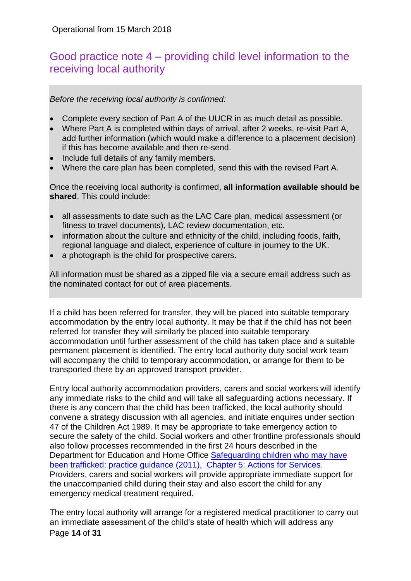## <span id="page-13-0"></span>Good practice note 4 – providing child level information to the receiving local authority

*Before the receiving local authority is confirmed:*

- Complete every section of Part A of the UUCR in as much detail as possible.
- Where Part A is completed within days of arrival, after 2 weeks, re-visit Part A, add further information (which would make a difference to a placement decision) if this has become available and then re-send.
- Include full details of any family members.
- Where the care plan has been completed, send this with the revised Part A.

Once the receiving local authority is confirmed, **all information available should be shared**. This could include:

- all assessments to date such as the LAC Care plan, medical assessment (or fitness to travel documents), LAC review documentation, etc.
- information about the culture and ethnicity of the child, including foods, faith, regional language and dialect, experience of culture in journey to the UK.
- a photograph is the child for prospective carers.

All information must be shared as a zipped file via a secure email address such as the nominated contact for out of area placements.

If a child has been referred for transfer, they will be placed into suitable temporary accommodation by the entry local authority. It may be that if the child has not been referred for transfer they will similarly be placed into suitable temporary accommodation until further assessment of the child has taken place and a suitable permanent placement is identified. The entry local authority duty social work team will accompany the child to temporary accommodation, or arrange for them to be transported there by an approved transport provider.

Entry local authority accommodation providers, carers and social workers will identify any immediate risks to the child and will take all safeguarding actions necessary. If there is any concern that the child has been trafficked, the local authority should convene a strategy discussion with all agencies, and initiate enquires under section 47 of the Children Act 1989. It may be appropriate to take emergency action to secure the safety of the child. Social workers and other frontline professionals should also follow processes recommended in the first 24 hours described in the Department for Education and Home Office Safeguarding children who may have [been trafficked: practice guidance \(2011\), Chapter 5: Actions for Services.](https://www.gov.uk/government/uploads/system/uploads/attachment_data/file/177033/DFE-00084-2011.pdf) Providers, carers and social workers will provide appropriate immediate support for the unaccompanied child during their stay and also escort the child for any emergency medical treatment required.

Page **14** of **31** The entry local authority will arrange for a registered medical practitioner to carry out an immediate assessment of the child's state of health which will address any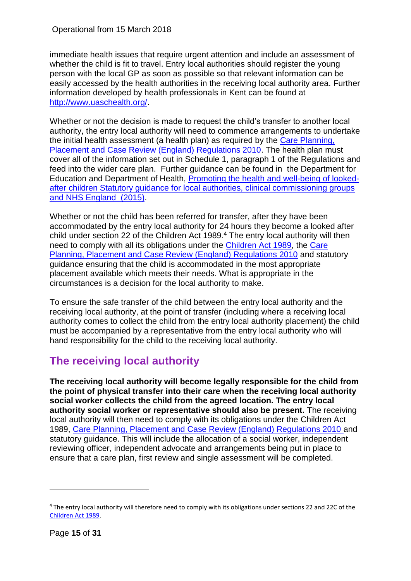immediate health issues that require urgent attention and include an assessment of whether the child is fit to travel. Entry local authorities should register the young person with the local GP as soon as possible so that relevant information can be easily accessed by the health authorities in the receiving local authority area. Further information developed by health professionals in Kent can be found at [http://www.uaschealth.org/.](http://www.uaschealth.org/)

Whether or not the decision is made to request the child's transfer to another local authority, the entry local authority will need to commence arrangements to undertake the initial health assessment (a health plan) as required by the [Care Planning,](http://www.legislation.gov.uk/uksi/2010/959/contents/made)  [Placement and Case Review \(England\) Regulations 2010.](http://www.legislation.gov.uk/uksi/2010/959/contents/made) The health plan must cover all of the information set out in Schedule 1, paragraph 1 of the Regulations and feed into the wider care plan. Further guidance can be found in the Department for Education and Department of Health, [Promoting the health and well-being of looked](https://www.gov.uk/government/uploads/system/uploads/attachment_data/file/413368/Promoting_the_health_and_well-being_of_looked-after_children.pdf)[after children Statutory guidance for local authorities, clinical commissioning groups](https://www.gov.uk/government/uploads/system/uploads/attachment_data/file/413368/Promoting_the_health_and_well-being_of_looked-after_children.pdf)  [and NHS England](https://www.gov.uk/government/uploads/system/uploads/attachment_data/file/413368/Promoting_the_health_and_well-being_of_looked-after_children.pdf) (2015).

Whether or not the child has been referred for transfer, after they have been accommodated by the entry local authority for 24 hours they become a looked after child under section 22 of the Children Act 1989. <sup>4</sup> The entry local authority will then need to comply with all its obligations under the [Children Act 1989,](http://www.legislation.gov.uk/ukpga/1989/41/contents) the [Care](http://www.legislation.gov.uk/uksi/2010/959/contents/made)  [Planning, Placement and Case Review \(England\) Regulations 2010](http://www.legislation.gov.uk/uksi/2010/959/contents/made) and statutory guidance ensuring that the child is accommodated in the most appropriate placement available which meets their needs. What is appropriate in the circumstances is a decision for the local authority to make.

To ensure the safe transfer of the child between the entry local authority and the receiving local authority, at the point of transfer (including where a receiving local authority comes to collect the child from the entry local authority placement) the child must be accompanied by a representative from the entry local authority who will hand responsibility for the child to the receiving local authority.

## <span id="page-14-0"></span>**The receiving local authority**

**The receiving local authority will become legally responsible for the child from the point of physical transfer into their care when the receiving local authority social worker collects the child from the agreed location. The entry local authority social worker or representative should also be present.** The receiving local authority will then need to comply with its obligations under the Children Act 1989, [Care Planning, Placement and Case Review \(England\) Regulations 2010](http://www.legislation.gov.uk/uksi/2010/959/contents/made) and statutory guidance. This will include the allocation of a social worker, independent reviewing officer, independent advocate and arrangements being put in place to ensure that a care plan, first review and single assessment will be completed.

1

<sup>&</sup>lt;sup>4</sup> The entry local authority will therefore need to comply with its obligations under sections 22 and 22C of the [Children Act 1989.](http://www.legislation.gov.uk/ukpga/1989/41/contents)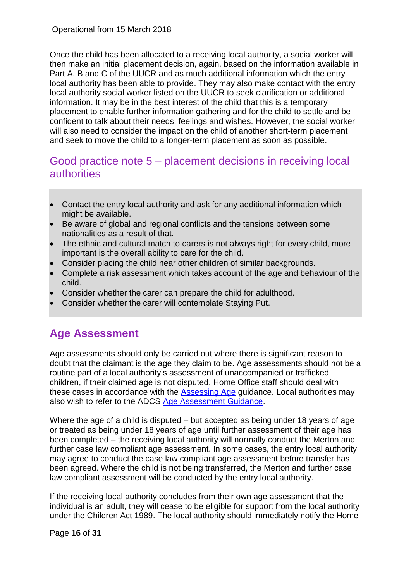Once the child has been allocated to a receiving local authority, a social worker will then make an initial placement decision, again, based on the information available in Part A, B and C of the UUCR and as much additional information which the entry local authority has been able to provide. They may also make contact with the entry local authority social worker listed on the UUCR to seek clarification or additional information. It may be in the best interest of the child that this is a temporary placement to enable further information gathering and for the child to settle and be confident to talk about their needs, feelings and wishes. However, the social worker will also need to consider the impact on the child of another short-term placement and seek to move the child to a longer-term placement as soon as possible.

## <span id="page-15-0"></span>Good practice note 5 – placement decisions in receiving local **authorities**

- Contact the entry local authority and ask for any additional information which might be available.
- Be aware of global and regional conflicts and the tensions between some nationalities as a result of that.
- The ethnic and cultural match to carers is not always right for every child, more important is the overall ability to care for the child.
- Consider placing the child near other children of similar backgrounds.
- Complete a risk assessment which takes account of the age and behaviour of the child.
- Consider whether the carer can prepare the child for adulthood.
- Consider whether the carer will contemplate Staying Put.

## <span id="page-15-1"></span>**Age Assessment**

Age assessments should only be carried out where there is significant reason to doubt that the claimant is the age they claim to be. Age assessments should not be a routine part of a local authority's assessment of unaccompanied or trafficked children, if their claimed age is not disputed. Home Office staff should deal with these cases in accordance with the [Assessing Age](https://www.gov.uk/government/uploads/system/uploads/attachment_data/file/257462/assessing-age.pdf) guidance. Local authorities may also wish to refer to the ADCS [Age Assessment Guidance.](http://adcs.org.uk/assets/documentation/Age_Assessment_Guidance_2015_Final.pdf)

Where the age of a child is disputed – but accepted as being under 18 years of age or treated as being under 18 years of age until further assessment of their age has been completed – the receiving local authority will normally conduct the Merton and further case law compliant age assessment. In some cases, the entry local authority may agree to conduct the case law compliant age assessment before transfer has been agreed. Where the child is not being transferred, the Merton and further case law compliant assessment will be conducted by the entry local authority.

If the receiving local authority concludes from their own age assessment that the individual is an adult, they will cease to be eligible for support from the local authority under the [Children Act 1989.](http://www.legislation.gov.uk/ukpga/1989/41/contents) The local authority should immediately notify the Home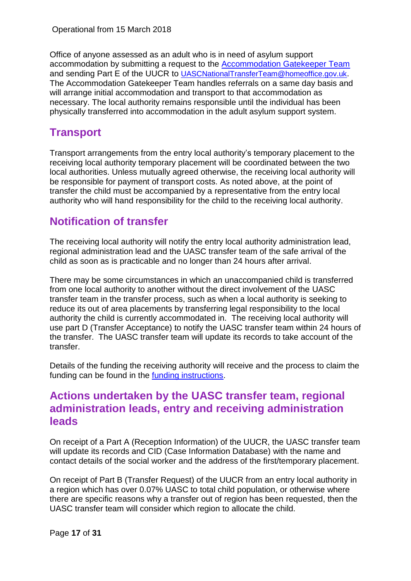Office of anyone assessed as an adult who is in need of asylum support accommodation by submitting a request to the [Accommodation Gatekeeper Team](mailto:AccommodationGatekeeperTeam@homeoffice.gsi.gov.uk) and sending Part E of the UUCR to [UASCNationalTransferTeam@homeoffice.gov.uk](mailto:UASCNationalTransferTeam@homeoffice.gov.uk). The Accommodation Gatekeeper Team handles referrals on a same day basis and will arrange initial accommodation and transport to that accommodation as necessary. The local authority remains responsible until the individual has been physically transferred into accommodation in the adult asylum support system.

## <span id="page-16-0"></span>**Transport**

Transport arrangements from the entry local authority's temporary placement to the receiving local authority temporary placement will be coordinated between the two local authorities. Unless mutually agreed otherwise, the receiving local authority will be responsible for payment of transport costs. As noted above, at the point of transfer the child must be accompanied by a representative from the entry local authority who will hand responsibility for the child to the receiving local authority.

## <span id="page-16-1"></span>**Notification of transfer**

The receiving local authority will notify the entry local authority administration lead, regional administration lead and the UASC transfer team of the safe arrival of the child as soon as is practicable and no longer than 24 hours after arrival.

There may be some circumstances in which an unaccompanied child is transferred from one local authority to another without the direct involvement of the UASC transfer team in the transfer process, such as when a local authority is seeking to reduce its out of area placements by transferring legal responsibility to the local authority the child is currently accommodated in. The receiving local authority will use part D (Transfer Acceptance) to notify the UASC transfer team within 24 hours of the transfer. The UASC transfer team will update its records to take account of the transfer.

Details of the funding the receiving authority will receive and the process to claim the funding can be found in the [funding instructions.](https://www.gov.uk/government/publications/unaccompanied-asylum-seeking-children-uasc-grant-instructions)

### <span id="page-16-2"></span>**Actions undertaken by the UASC transfer team, regional administration leads, entry and receiving administration leads**

On receipt of a Part A (Reception Information) of the UUCR, the UASC transfer team will update its records and CID (Case Information Database) with the name and contact details of the social worker and the address of the first/temporary placement.

On receipt of Part B (Transfer Request) of the UUCR from an entry local authority in a region which has over 0.07% UASC to total child population, or otherwise where there are specific reasons why a transfer out of region has been requested, then the UASC transfer team will consider which region to allocate the child.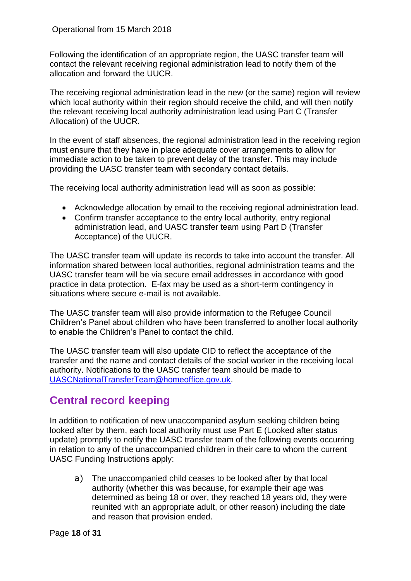Following the identification of an appropriate region, the UASC transfer team will contact the relevant receiving regional administration lead to notify them of the allocation and forward the UUCR.

The receiving regional administration lead in the new (or the same) region will review which local authority within their region should receive the child, and will then notify the relevant receiving local authority administration lead using Part C (Transfer Allocation) of the UUCR.

In the event of staff absences, the regional administration lead in the receiving region must ensure that they have in place adequate cover arrangements to allow for immediate action to be taken to prevent delay of the transfer. This may include providing the UASC transfer team with secondary contact details.

The receiving local authority administration lead will as soon as possible:

- Acknowledge allocation by email to the receiving regional administration lead.
- Confirm transfer acceptance to the entry local authority, entry regional administration lead, and UASC transfer team using Part D (Transfer Acceptance) of the UUCR.

The UASC transfer team will update its records to take into account the transfer. All information shared between local authorities, regional administration teams and the UASC transfer team will be via secure email addresses in accordance with good practice in data protection. E-fax may be used as a short-term contingency in situations where secure e-mail is not available.

The UASC transfer team will also provide information to the Refugee Council Children's Panel about children who have been transferred to another local authority to enable the Children's Panel to contact the child.

The UASC transfer team will also update CID to reflect the acceptance of the transfer and the name and contact details of the social worker in the receiving local authority. Notifications to the UASC transfer team should be made to [UASCNationalTransferTeam@homeoffice.gov.uk.](mailto:UASCNationalTransferTeam@homeoffice.gov.uk)

## <span id="page-17-0"></span>**Central record keeping**

In addition to notification of new unaccompanied asylum seeking children being looked after by them, each local authority must use Part E (Looked after status update) promptly to notify the UASC transfer team of the following events occurring in relation to any of the unaccompanied children in their care to whom the current UASC Funding Instructions apply:

a) The unaccompanied child ceases to be looked after by that local authority (whether this was because, for example their age was determined as being 18 or over, they reached 18 years old, they were reunited with an appropriate adult, or other reason) including the date and reason that provision ended.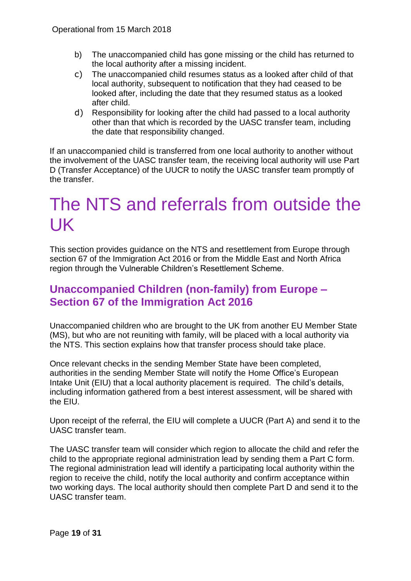- b) The unaccompanied child has gone missing or the child has returned to the local authority after a missing incident.
- c) The unaccompanied child resumes status as a looked after child of that local authority, subsequent to notification that they had ceased to be looked after, including the date that they resumed status as a looked after child.
- d) Responsibility for looking after the child had passed to a local authority other than that which is recorded by the UASC transfer team, including the date that responsibility changed.

If an unaccompanied child is transferred from one local authority to another without the involvement of the UASC transfer team, the receiving local authority will use Part D (Transfer Acceptance) of the UUCR to notify the UASC transfer team promptly of the transfer.

## <span id="page-18-0"></span>The NTS and referrals from outside the UK

This section provides guidance on the NTS and resettlement from Europe through section 67 of the Immigration Act 2016 or from the Middle East and North Africa region through the Vulnerable Children's Resettlement Scheme.

## <span id="page-18-1"></span>**Unaccompanied Children (non-family) from Europe – Section 67 of the Immigration Act 2016**

Unaccompanied children who are brought to the UK from another EU Member State (MS), but who are not reuniting with family, will be placed with a local authority via the NTS. This section explains how that transfer process should take place.

Once relevant checks in the sending Member State have been completed, authorities in the sending Member State will notify the Home Office's European Intake Unit (EIU) that a local authority placement is required. The child's details, including information gathered from a best interest assessment, will be shared with the EIU.

Upon receipt of the referral, the EIU will complete a UUCR (Part A) and send it to the UASC transfer team.

The UASC transfer team will consider which region to allocate the child and refer the child to the appropriate regional administration lead by sending them a Part C form. The regional administration lead will identify a participating local authority within the region to receive the child, notify the local authority and confirm acceptance within two working days. The local authority should then complete Part D and send it to the UASC transfer team.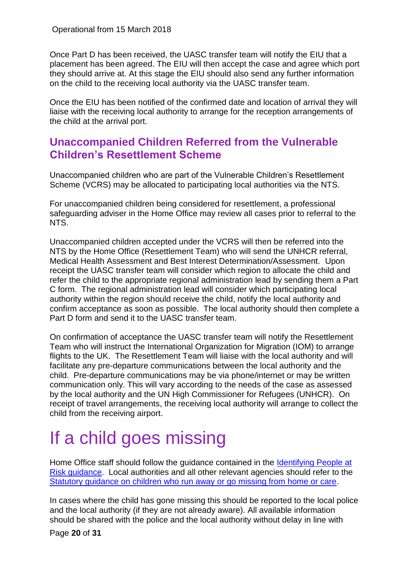Once Part D has been received, the UASC transfer team will notify the EIU that a placement has been agreed. The EIU will then accept the case and agree which port they should arrive at. At this stage the EIU should also send any further information on the child to the receiving local authority via the UASC transfer team.

Once the EIU has been notified of the confirmed date and location of arrival they will liaise with the receiving local authority to arrange for the reception arrangements of the child at the arrival port.

### <span id="page-19-0"></span>**Unaccompanied Children Referred from the Vulnerable Children's Resettlement Scheme**

Unaccompanied children who are part of the Vulnerable Children's Resettlement Scheme (VCRS) may be allocated to participating local authorities via the NTS.

For unaccompanied children being considered for resettlement, a professional safeguarding adviser in the Home Office may review all cases prior to referral to the NTS.

Unaccompanied children accepted under the VCRS will then be referred into the NTS by the Home Office (Resettlement Team) who will send the UNHCR referral, Medical Health Assessment and Best Interest Determination/Assessment. Upon receipt the UASC transfer team will consider which region to allocate the child and refer the child to the appropriate regional administration lead by sending them a Part C form. The regional administration lead will consider which participating local authority within the region should receive the child, notify the local authority and confirm acceptance as soon as possible. The local authority should then complete a Part D form and send it to the UASC transfer team.

On confirmation of acceptance the UASC transfer team will notify the Resettlement Team who will instruct the International Organization for Migration (IOM) to arrange flights to the UK. The Resettlement Team will liaise with the local authority and will facilitate any pre-departure communications between the local authority and the child. Pre-departure communications may be via phone/internet or may be written communication only. This will vary according to the needs of the case as assessed by the local authority and the UN High Commissioner for Refugees (UNHCR). On receipt of travel arrangements, the receiving local authority will arrange to collect the child from the receiving airport.

# <span id="page-19-1"></span>If a child goes missing

Home Office staff should follow the guidance contained in the [Identifying People at](https://www.gov.uk/government/uploads/system/uploads/attachment_data/file/537709/Identifying-people-at-risk-v1.0.pdf)  [Risk guidance.](https://www.gov.uk/government/uploads/system/uploads/attachment_data/file/537709/Identifying-people-at-risk-v1.0.pdf) Local authorities and all other relevant agencies should refer to the [Statutory guidance on children who run away or go missing from home or care.](https://www.gov.uk/government/uploads/system/uploads/attachment_data/file/307867/Statutory_Guidance_-_Missing_from_care__3_.pdf)

In cases where the child has gone missing this should be reported to the local police and the local authority (if they are not already aware). All available information should be shared with the police and the local authority without delay in line with

Page **20** of **31**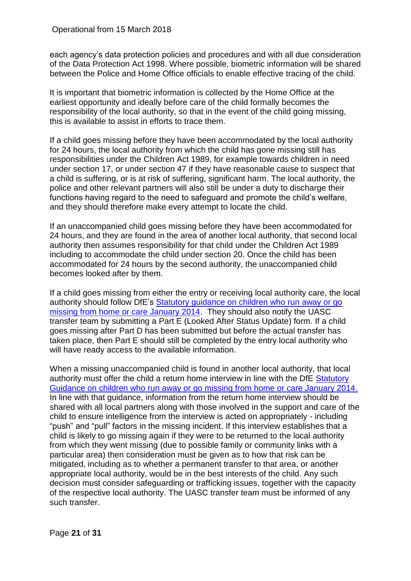each agency's data protection policies and procedures and with all due consideration of the Data Protection Act 1998. Where possible, biometric information will be shared between the Police and Home Office officials to enable effective tracing of the child.

It is important that biometric information is collected by the Home Office at the earliest opportunity and ideally before care of the child formally becomes the responsibility of the local authority, so that in the event of the child going missing, this is available to assist in efforts to trace them.

If a child goes missing before they have been accommodated by the local authority for 24 hours, the local authority from which the child has gone missing still has responsibilities under the Children Act 1989, for example towards children in need under section 17, or under section 47 if they have reasonable cause to suspect that a child is suffering, or is at risk of suffering, significant harm. The local authority, the police and other relevant partners will also still be under a duty to discharge their functions having regard to the need to safeguard and promote the child's welfare, and they should therefore make every attempt to locate the child.

If an unaccompanied child goes missing before they have been accommodated for 24 hours, and they are found in the area of another local authority, that second local authority then assumes responsibility for that child under the Children Act 1989 including to accommodate the child under section 20. Once the child has been accommodated for 24 hours by the second authority, the unaccompanied child becomes looked after by them.

If a child goes missing from either the entry or receiving local authority care, the local authority should follow DfE's Statutory guidance on children who run away or go [missing from home or care January 2014.](https://www.gov.uk/government/uploads/system/uploads/attachment_data/file/307867/Statutory_Guidance_-_Missing_from_care__3_.pdf) They should also notify the UASC transfer team by submitting a Part E (Looked After Status Update) form. If a child goes missing after Part D has been submitted but before the actual transfer has taken place, then Part E should still be completed by the entry local authority who will have ready access to the available information.

When a missing unaccompanied child is found in another local authority, that local authority must offer the child a return home interview in line with the DfE [Statutory](https://www.gov.uk/government/uploads/system/uploads/attachment_data/file/307867/Statutory_Guidance_-_Missing_from_care__3_.pdf)  [Guidance on children who run away or go missing from home or care January 2014.](https://www.gov.uk/government/uploads/system/uploads/attachment_data/file/307867/Statutory_Guidance_-_Missing_from_care__3_.pdf) In line with that guidance, information from the return home interview should be shared with all local partners along with those involved in the support and care of the child to ensure intelligence from the interview is acted on appropriately - including "push" and "pull" factors in the missing incident. If this interview establishes that a child is likely to go missing again if they were to be returned to the local authority from which they went missing (due to possible family or community links with a particular area) then consideration must be given as to how that risk can be mitigated, including as to whether a permanent transfer to that area, or another appropriate local authority, would be in the best interests of the child. Any such decision must consider safeguarding or trafficking issues, together with the capacity of the respective local authority. The UASC transfer team must be informed of any such transfer.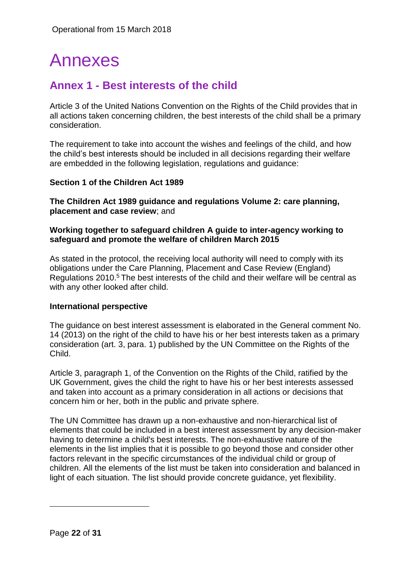## <span id="page-21-0"></span>Annexes

## <span id="page-21-1"></span>**Annex 1 - Best interests of the child**

Article 3 of the United Nations Convention on the Rights of the Child provides that in all actions taken concerning children, the best interests of the child shall be a primary consideration.

The requirement to take into account the wishes and feelings of the child, and how the child's best interests should be included in all decisions regarding their welfare are embedded in the following legislation, regulations and guidance:

#### **Section 1 of the Children Act 1989**

**The Children Act 1989 guidance and regulations Volume 2: care planning, placement and case review**; and

#### **Working together to safeguard children A guide to inter-agency working to safeguard and promote the welfare of children March 2015**

As stated in the protocol, the receiving local authority will need to comply with its obligations under the [Care Planning, Placement and Case Review \(England\)](http://www.legislation.gov.uk/uksi/2010/959/contents/made)  [Regulations 2010.](http://www.legislation.gov.uk/uksi/2010/959/contents/made) <sup>5</sup> The best interests of the child and their welfare will be central as with any other looked after child.

#### **International perspective**

The guidance on best interest assessment is elaborated in the General comment No. 14 (2013) on the right of the child to have his or her best interests taken as a primary consideration (art. 3, para. 1) published by the UN Committee on the Rights of the Child.

Article 3, paragraph 1, of the Convention on the Rights of the Child, ratified by the UK Government, gives the child the right to have his or her best interests assessed and taken into account as a primary consideration in all actions or decisions that concern him or her, both in the public and private sphere.

The UN Committee has drawn up a non-exhaustive and non-hierarchical list of elements that could be included in a best interest assessment by any decision-maker having to determine a child's best interests. The non-exhaustive nature of the elements in the list implies that it is possible to go beyond those and consider other factors relevant in the specific circumstances of the individual child or group of children. All the elements of the list must be taken into consideration and balanced in light of each situation. The list should provide concrete guidance, yet flexibility.

1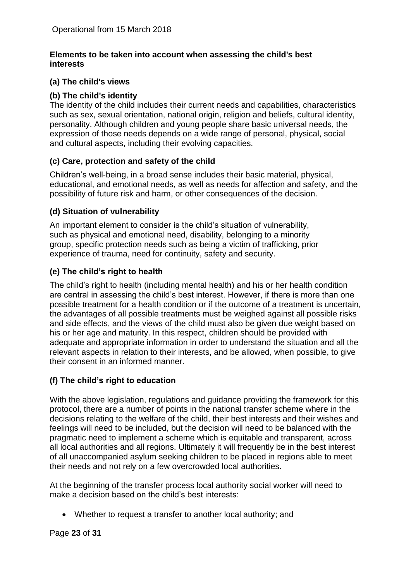#### **Elements to be taken into account when assessing the child's best interests**

#### **(a) The child's views**

#### **(b) The child's identity**

The identity of the child includes their current needs and capabilities, characteristics such as sex, sexual orientation, national origin, religion and beliefs, cultural identity, personality. Although children and young people share basic universal needs, the expression of those needs depends on a wide range of personal, physical, social and cultural aspects, including their evolving capacities.

### **(c) Care, protection and safety of the child**

Children's well-being, in a broad sense includes their basic material, physical, educational, and emotional needs, as well as needs for affection and safety, and the possibility of future risk and harm, or other consequences of the decision.

#### **(d) Situation of vulnerability**

An important element to consider is the child's situation of vulnerability, such as physical and emotional need, disability, belonging to a minority group, specific protection needs such as being a victim of trafficking, prior experience of trauma, need for continuity, safety and security.

#### **(e) The child's right to health**

The child's right to health (including mental health) and his or her health condition are central in assessing the child's best interest. However, if there is more than one possible treatment for a health condition or if the outcome of a treatment is uncertain, the advantages of all possible treatments must be weighed against all possible risks and side effects, and the views of the child must also be given due weight based on his or her age and maturity. In this respect, children should be provided with adequate and appropriate information in order to understand the situation and all the relevant aspects in relation to their interests, and be allowed, when possible, to give their consent in an informed manner.

#### **(f) The child's right to education**

With the above legislation, regulations and guidance providing the framework for this protocol, there are a number of points in the national transfer scheme where in the decisions relating to the welfare of the child, their best interests and their wishes and feelings will need to be included, but the decision will need to be balanced with the pragmatic need to implement a scheme which is equitable and transparent, across all local authorities and all regions. Ultimately it will frequently be in the best interest of all unaccompanied asylum seeking children to be placed in regions able to meet their needs and not rely on a few overcrowded local authorities.

At the beginning of the transfer process local authority social worker will need to make a decision based on the child's best interests:

• Whether to request a transfer to another local authority; and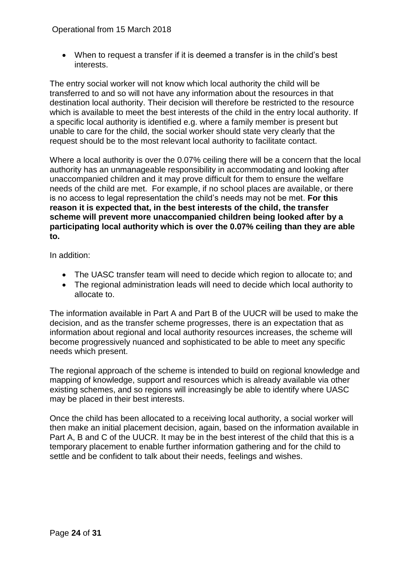• When to request a transfer if it is deemed a transfer is in the child's best interests.

The entry social worker will not know which local authority the child will be transferred to and so will not have any information about the resources in that destination local authority. Their decision will therefore be restricted to the resource which is available to meet the best interests of the child in the entry local authority. If a specific local authority is identified e.g. where a family member is present but unable to care for the child, the social worker should state very clearly that the request should be to the most relevant local authority to facilitate contact.

Where a local authority is over the 0.07% ceiling there will be a concern that the local authority has an unmanageable responsibility in accommodating and looking after unaccompanied children and it may prove difficult for them to ensure the welfare needs of the child are met. For example, if no school places are available, or there is no access to legal representation the child's needs may not be met. **For this reason it is expected that, in the best interests of the child, the transfer scheme will prevent more unaccompanied children being looked after by a participating local authority which is over the 0.07% ceiling than they are able to.**

In addition:

- The UASC transfer team will need to decide which region to allocate to; and
- The regional administration leads will need to decide which local authority to allocate to.

The information available in Part A and Part B of the UUCR will be used to make the decision, and as the transfer scheme progresses, there is an expectation that as information about regional and local authority resources increases, the scheme will become progressively nuanced and sophisticated to be able to meet any specific needs which present.

The regional approach of the scheme is intended to build on regional knowledge and mapping of knowledge, support and resources which is already available via other existing schemes, and so regions will increasingly be able to identify where UASC may be placed in their best interests.

Once the child has been allocated to a receiving local authority, a social worker will then make an initial placement decision, again, based on the information available in Part A, B and C of the UUCR. It may be in the best interest of the child that this is a temporary placement to enable further information gathering and for the child to settle and be confident to talk about their needs, feelings and wishes.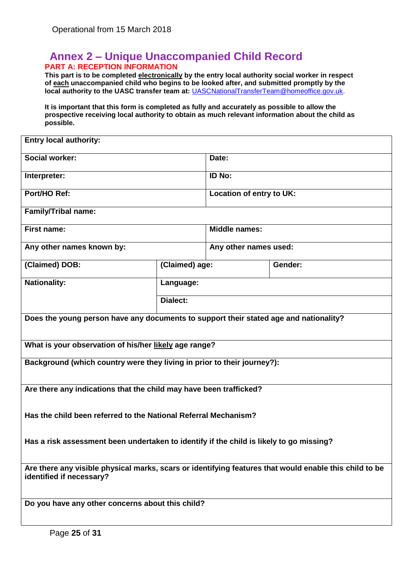### <span id="page-24-0"></span>**Annex 2 – Unique Unaccompanied Child Record PART A: RECEPTION INFORMATION**

**This part is to be completed electronically by the entry local authority social worker in respect of each unaccompanied child who begins to be looked after, and submitted promptly by the local authority to the UASC transfer team at:** [UASCNationalTransferTeam@homeoffice.gov.uk.](mailto:UASCNationalTransferTeam@homeoffice.gov.uk)

**It is important that this form is completed as fully and accurately as possible to allow the prospective receiving local authority to obtain as much relevant information about the child as possible.**

| <b>Entry local authority:</b>                                                                                                      |                 |                          |         |
|------------------------------------------------------------------------------------------------------------------------------------|-----------------|--------------------------|---------|
| <b>Social worker:</b>                                                                                                              |                 | Date:                    |         |
| Interpreter:                                                                                                                       |                 | <b>ID No:</b>            |         |
| Port/HO Ref:                                                                                                                       |                 | Location of entry to UK: |         |
| Family/Tribal name:                                                                                                                |                 |                          |         |
| <b>First name:</b>                                                                                                                 |                 | <b>Middle names:</b>     |         |
| Any other names known by:                                                                                                          |                 | Any other names used:    |         |
| (Claimed) DOB:                                                                                                                     | (Claimed) age:  |                          | Gender: |
| <b>Nationality:</b>                                                                                                                | Language:       |                          |         |
|                                                                                                                                    | <b>Dialect:</b> |                          |         |
| Does the young person have any documents to support their stated age and nationality?                                              |                 |                          |         |
| What is your observation of his/her likely age range?                                                                              |                 |                          |         |
| Background (which country were they living in prior to their journey?):                                                            |                 |                          |         |
| Are there any indications that the child may have been trafficked?                                                                 |                 |                          |         |
| Has the child been referred to the National Referral Mechanism?                                                                    |                 |                          |         |
| Has a risk assessment been undertaken to identify if the child is likely to go missing?                                            |                 |                          |         |
| Are there any visible physical marks, scars or identifying features that would enable this child to be<br>identified if necessary? |                 |                          |         |
| Do you have any other concerns about this child?                                                                                   |                 |                          |         |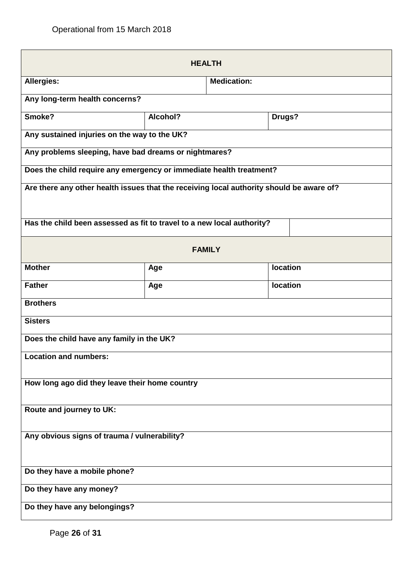| <b>HEALTH</b>                                                                            |          |                    |                 |
|------------------------------------------------------------------------------------------|----------|--------------------|-----------------|
| <b>Allergies:</b>                                                                        |          | <b>Medication:</b> |                 |
| Any long-term health concerns?                                                           |          |                    |                 |
| Smoke?                                                                                   | Alcohol? |                    | Drugs?          |
| Any sustained injuries on the way to the UK?                                             |          |                    |                 |
| Any problems sleeping, have bad dreams or nightmares?                                    |          |                    |                 |
| Does the child require any emergency or immediate health treatment?                      |          |                    |                 |
| Are there any other health issues that the receiving local authority should be aware of? |          |                    |                 |
| Has the child been assessed as fit to travel to a new local authority?                   |          |                    |                 |
| <b>FAMILY</b>                                                                            |          |                    |                 |
| <b>Mother</b>                                                                            | Age      |                    | location        |
| <b>Father</b>                                                                            | Age      |                    | <b>location</b> |
| <b>Brothers</b>                                                                          |          |                    |                 |
| <b>Sisters</b>                                                                           |          |                    |                 |
| Does the child have any family in the UK?                                                |          |                    |                 |
| <b>Location and numbers:</b>                                                             |          |                    |                 |
| How long ago did they leave their home country                                           |          |                    |                 |
| Route and journey to UK:                                                                 |          |                    |                 |
|                                                                                          |          |                    |                 |
| Any obvious signs of trauma / vulnerability?                                             |          |                    |                 |
| Do they have a mobile phone?                                                             |          |                    |                 |
| Do they have any money?                                                                  |          |                    |                 |
| Do they have any belongings?                                                             |          |                    |                 |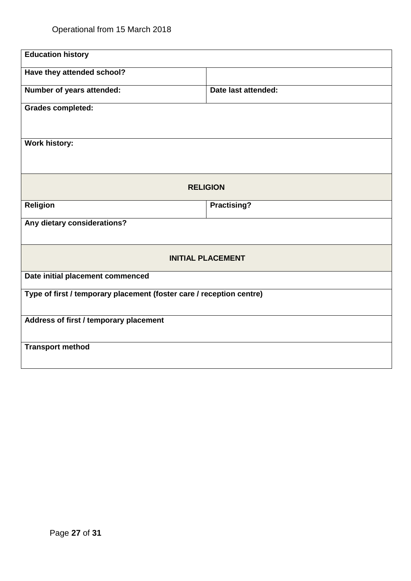| <b>Education history</b>                                             |                     |  |
|----------------------------------------------------------------------|---------------------|--|
| Have they attended school?                                           |                     |  |
| Number of years attended:                                            | Date last attended: |  |
| <b>Grades completed:</b>                                             |                     |  |
|                                                                      |                     |  |
| <b>Work history:</b>                                                 |                     |  |
| <b>RELIGION</b>                                                      |                     |  |
| <b>Religion</b>                                                      | <b>Practising?</b>  |  |
| Any dietary considerations?                                          |                     |  |
| <b>INITIAL PLACEMENT</b>                                             |                     |  |
| Date initial placement commenced                                     |                     |  |
| Type of first / temporary placement (foster care / reception centre) |                     |  |
| Address of first / temporary placement                               |                     |  |
| <b>Transport method</b>                                              |                     |  |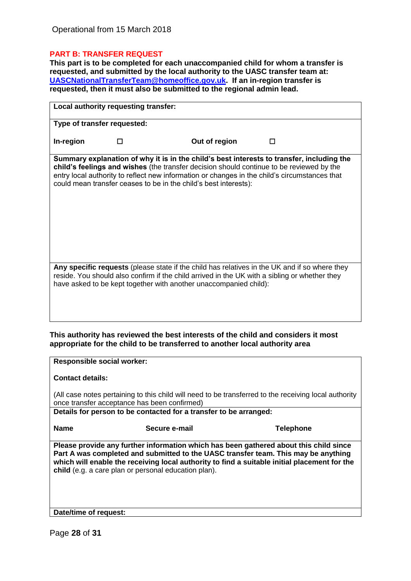#### **PART B: TRANSFER REQUEST**

**This part is to be completed for each unaccompanied child for whom a transfer is requested, and submitted by the local authority to the UASC transfer team at: [UASCNationalTransferTeam@homeoffice.gov.uk.](mailto:UASCNationalTransferTeam@homeoffice.gov.uk) If an in-region transfer is requested, then it must also be submitted to the regional admin lead.**

| Local authority requesting transfer: |                             |                                                                                                                                                                                                                                                                                                                                                            |  |
|--------------------------------------|-----------------------------|------------------------------------------------------------------------------------------------------------------------------------------------------------------------------------------------------------------------------------------------------------------------------------------------------------------------------------------------------------|--|
|                                      | Type of transfer requested: |                                                                                                                                                                                                                                                                                                                                                            |  |
| In-region                            |                             | Out of region                                                                                                                                                                                                                                                                                                                                              |  |
|                                      |                             | Summary explanation of why it is in the child's best interests to transfer, including the<br>child's feelings and wishes (the transfer decision should continue to be reviewed by the<br>entry local authority to reflect new information or changes in the child's circumstances that<br>could mean transfer ceases to be in the child's best interests): |  |
|                                      |                             | Any specific requests (please state if the child has relatives in the UK and if so where they<br>reside. You should also confirm if the child arrived in the UK with a sibling or whether they<br>have asked to be kept together with another unaccompanied child):                                                                                        |  |

#### **This authority has reviewed the best interests of the child and considers it most appropriate for the child to be transferred to another local authority area**

| <b>Responsible social worker:</b> |                                                                                                                                                                                                                                                                                                                                     |                  |
|-----------------------------------|-------------------------------------------------------------------------------------------------------------------------------------------------------------------------------------------------------------------------------------------------------------------------------------------------------------------------------------|------------------|
| <b>Contact details:</b>           |                                                                                                                                                                                                                                                                                                                                     |                  |
|                                   | (All case notes pertaining to this child will need to be transferred to the receiving local authority<br>once transfer acceptance has been confirmed)                                                                                                                                                                               |                  |
|                                   | Details for person to be contacted for a transfer to be arranged:                                                                                                                                                                                                                                                                   |                  |
| <b>Name</b>                       | Secure e-mail                                                                                                                                                                                                                                                                                                                       | <b>Telephone</b> |
|                                   | Please provide any further information which has been gathered about this child since<br>Part A was completed and submitted to the UASC transfer team. This may be anything<br>which will enable the receiving local authority to find a suitable initial placement for the<br>child (e.g. a care plan or personal education plan). |                  |

**Date/time of request:**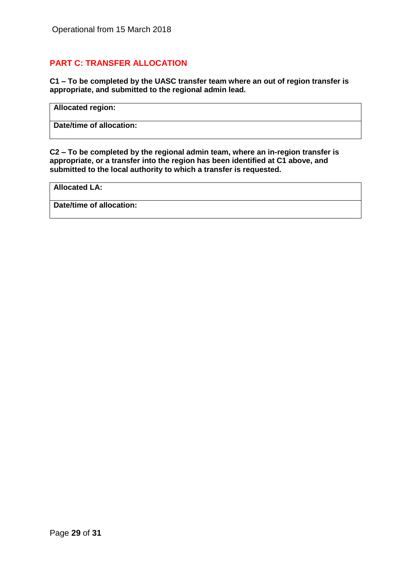### **PART C: TRANSFER ALLOCATION**

**C1 – To be completed by the UASC transfer team where an out of region transfer is appropriate, and submitted to the regional admin lead.** 

**Allocated region:**

**Date/time of allocation:**

**C2 – To be completed by the regional admin team, where an in-region transfer is appropriate, or a transfer into the region has been identified at C1 above, and submitted to the local authority to which a transfer is requested.**

**Allocated LA:**

**Date/time of allocation:**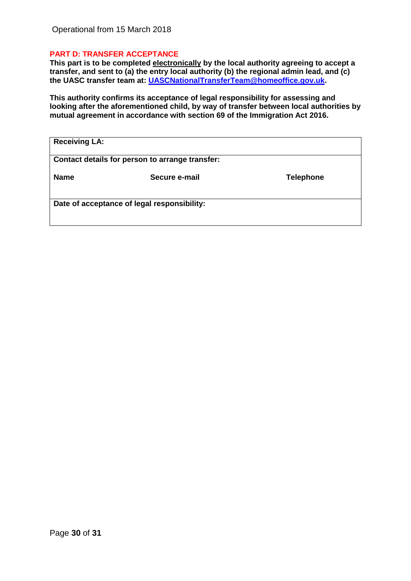#### **PART D: TRANSFER ACCEPTANCE**

**This part is to be completed electronically by the local authority agreeing to accept a transfer, and sent to (a) the entry local authority (b) the regional admin lead, and (c) the UASC transfer team at: [UASCNationalTransferTeam@homeoffice.gov.uk.](mailto:UASCNationalTransferTeam@homeoffice.gov.uk)**

**This authority confirms its acceptance of legal responsibility for assessing and looking after the aforementioned child, by way of transfer between local authorities by mutual agreement in accordance with section 69 of the Immigration Act 2016.**

| <b>Receiving LA:</b>                        |                                                 |                  |
|---------------------------------------------|-------------------------------------------------|------------------|
|                                             | Contact details for person to arrange transfer: |                  |
| <b>Name</b>                                 | Secure e-mail                                   | <b>Telephone</b> |
| Date of acceptance of legal responsibility: |                                                 |                  |